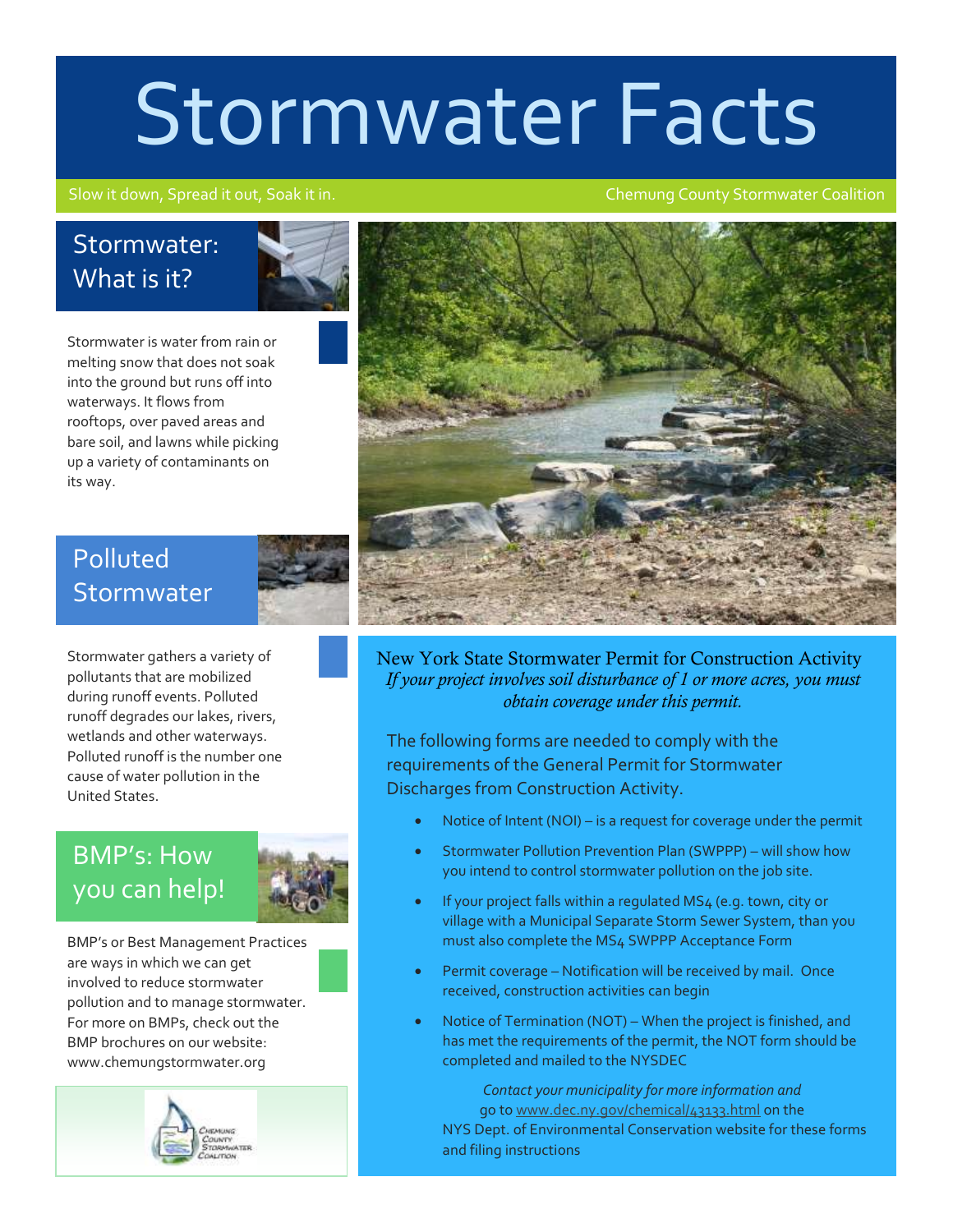# Stormwater Facts

#### Slow it down, Spread it out, Soak it in. Chemung County Stormwater Coalition

#### Stormwater: What is it?



Stormwater is water from rain or melting snow that does not soak into the ground but runs off into waterways. It flows from rooftops, over paved areas and bare soil, and lawns while picking up a variety of contaminants on its way.

New York State Stormwater Permit for Construction Activity *If your project involves soil disturbance of 1 or more acres, you must obtain coverage under this permit.*

The following forms are needed to comply with the requirements of the General Permit for Stormwater Discharges from Construction Activity.

- Notice of Intent (NOI) is a request for coverage under the permit
- Stormwater Pollution Prevention Plan (SWPPP) will show how you intend to control stormwater pollution on the job site.
- If your project falls within a regulated MS4 (e.g. town, city or village with a Municipal Separate Storm Sewer System, than you must also complete the MS4 SWPPP Acceptance Form
- Permit coverage Notification will be received by mail. Once received, construction activities can begin
- Notice of Termination (NOT) When the project is finished, and has met the requirements of the permit, the NOT form should be completed and mailed to the NYSDEC

*Contact your municipality for more information and* go t[o www.dec.ny.gov/chemical/43133.html](http://www.dec.ny.gov/chemical/43133.html) on the NYS Dept. of Environmental Conservation website for these forms and filing instructions

#### Polluted **Stormwater**

Stormwater gathers a variety of pollutants that are mobilized during runoff events. Polluted runoff degrades our lakes, rivers, wetlands and other waterways. Polluted runoff is the number one cause of water pollution in the United States.

### BMP's: How you can help!



BMP's or Best Management Practices are ways in which we can get involved to reduce stormwater pollution and to manage stormwater. For more on BMPs, check out the BMP brochures on our website: www.chemungstormwater.org